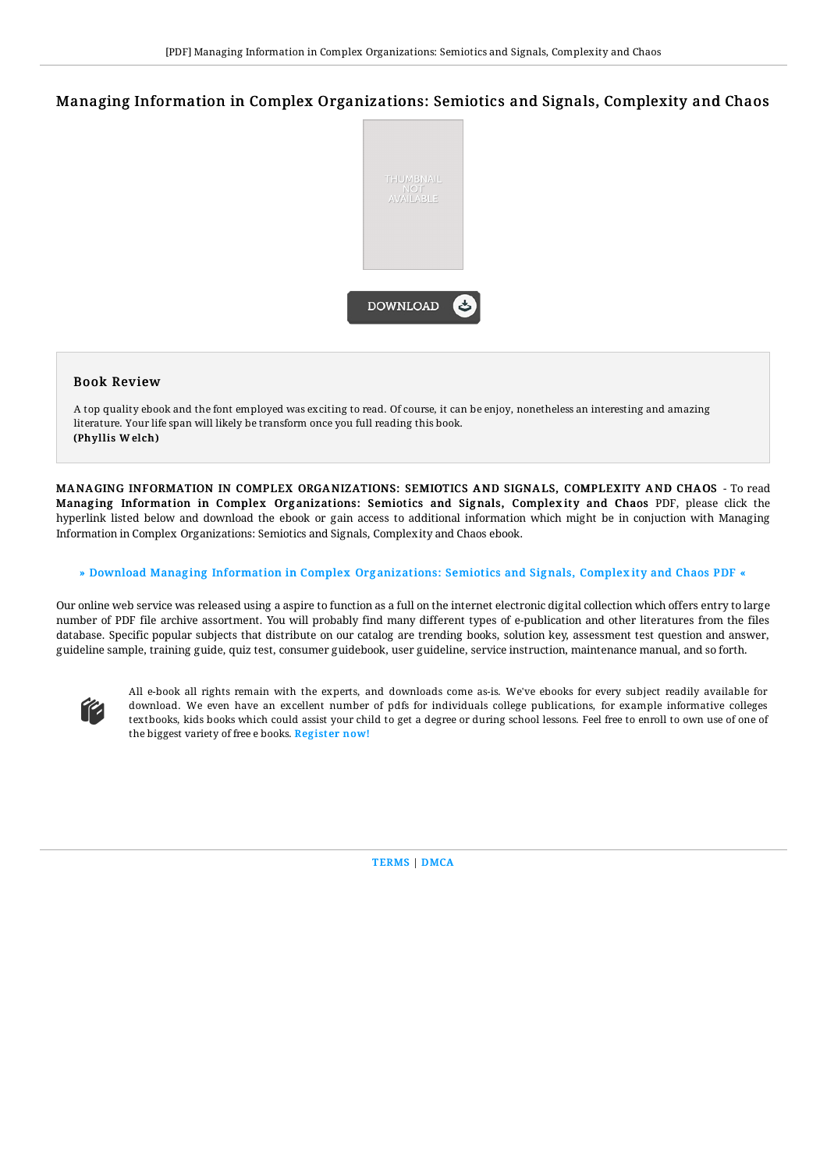# Managing Information in Complex Organizations: Semiotics and Signals, Complexity and Chaos



### Book Review

A top quality ebook and the font employed was exciting to read. Of course, it can be enjoy, nonetheless an interesting and amazing literature. Your life span will likely be transform once you full reading this book. (Phyllis W elch)

MANA GING INFORMATION IN COMPLEX ORGANIZATIONS: SEMIOTICS AND SIGNALS, COMPLEXITY AND CHAOS - To read Managing Information in Complex Organizations: Semiotics and Signals, Complexity and Chaos PDF, please click the hyperlink listed below and download the ebook or gain access to additional information which might be in conjuction with Managing Information in Complex Organizations: Semiotics and Signals, Complexity and Chaos ebook.

### » Download Managing [Information](http://techno-pub.tech/managing-information-in-complex-organizations-se.html) in Complex Organizations: Semiotics and Signals, Complexity and Chaos PDF «

Our online web service was released using a aspire to function as a full on the internet electronic digital collection which offers entry to large number of PDF file archive assortment. You will probably find many different types of e-publication and other literatures from the files database. Specific popular subjects that distribute on our catalog are trending books, solution key, assessment test question and answer, guideline sample, training guide, quiz test, consumer guidebook, user guideline, service instruction, maintenance manual, and so forth.



All e-book all rights remain with the experts, and downloads come as-is. We've ebooks for every subject readily available for download. We even have an excellent number of pdfs for individuals college publications, for example informative colleges textbooks, kids books which could assist your child to get a degree or during school lessons. Feel free to enroll to own use of one of the biggest variety of free e books. [Regist](http://techno-pub.tech/managing-information-in-complex-organizations-se.html)er now!